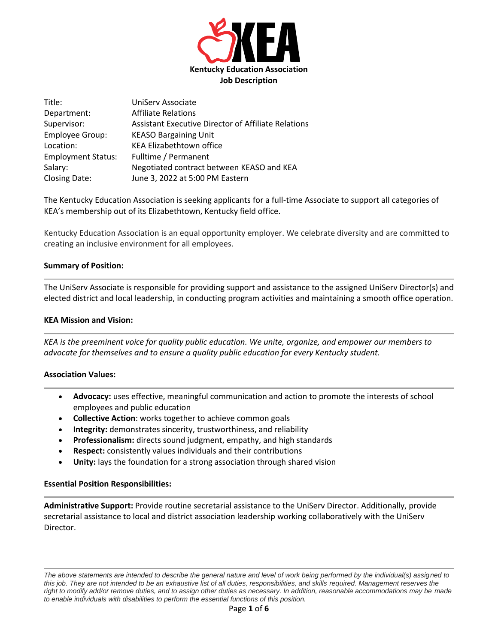

| Title:                    | UniServ Associate                                          |
|---------------------------|------------------------------------------------------------|
| Department:               | <b>Affiliate Relations</b>                                 |
| Supervisor:               | <b>Assistant Executive Director of Affiliate Relations</b> |
| <b>Employee Group:</b>    | <b>KEASO Bargaining Unit</b>                               |
| Location:                 | <b>KEA Elizabethtown office</b>                            |
| <b>Employment Status:</b> | Fulltime / Permanent                                       |
| Salary:                   | Negotiated contract between KEASO and KEA                  |
| Closing Date:             | June 3, 2022 at 5:00 PM Eastern                            |

The Kentucky Education Association is seeking applicants for a full-time Associate to support all categories of KEA's membership out of its Elizabethtown, Kentucky field office.

Kentucky Education Association is an equal opportunity employer. We celebrate diversity and are committed to creating an inclusive environment for all employees.

## **Summary of Position:**

The UniServ Associate is responsible for providing support and assistance to the assigned UniServ Director(s) and elected district and local leadership, in conducting program activities and maintaining a smooth office operation.

## **KEA Mission and Vision:**

*KEA is the preeminent voice for quality public education. We unite, organize, and empower our members to advocate for themselves and to ensure a quality public education for every Kentucky student.*

### **Association Values:**

- **Advocacy:** uses effective, meaningful communication and action to promote the interests of school employees and public education
- **Collective Action**: works together to achieve common goals
- **Integrity:** demonstrates sincerity, trustworthiness, and reliability
- **Professionalism:** directs sound judgment, empathy, and high standards
- **Respect:** consistently values individuals and their contributions
- Unity: lays the foundation for a strong association through shared vision

### **Essential Position Responsibilities:**

**Administrative Support:** Provide routine secretarial assistance to the UniServ Director. Additionally, provide secretarial assistance to local and district association leadership working collaboratively with the UniServ Director.

*The above statements are intended to describe the general nature and level of work being performed by the individual(s) assigned to this job. They are not intended to be an exhaustive list of all duties, responsibilities, and skills required. Management reserves the*  right to modify add/or remove duties, and to assign other duties as necessary. In addition, reasonable accommodations may be made *to enable individuals with disabilities to perform the essential functions of this position.*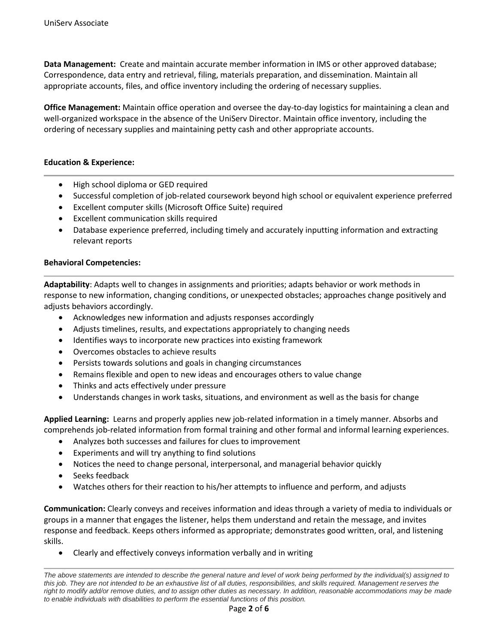**Data Management:** Create and maintain accurate member information in IMS or other approved database; Correspondence, data entry and retrieval, filing, materials preparation, and dissemination. Maintain all appropriate accounts, files, and office inventory including the ordering of necessary supplies.

**Office Management:** Maintain office operation and oversee the day-to-day logistics for maintaining a clean and well-organized workspace in the absence of the UniServ Director. Maintain office inventory, including the ordering of necessary supplies and maintaining petty cash and other appropriate accounts.

## **Education & Experience:**

- High school diploma or GED required
- Successful completion of job-related coursework beyond high school or equivalent experience preferred
- Excellent computer skills (Microsoft Office Suite) required
- Excellent communication skills required
- Database experience preferred, including timely and accurately inputting information and extracting relevant reports

## **Behavioral Competencies:**

**Adaptability**: Adapts well to changes in assignments and priorities; adapts behavior or work methods in response to new information, changing conditions, or unexpected obstacles; approaches change positively and adjusts behaviors accordingly.

- Acknowledges new information and adjusts responses accordingly
- Adjusts timelines, results, and expectations appropriately to changing needs
- Identifies ways to incorporate new practices into existing framework
- Overcomes obstacles to achieve results
- Persists towards solutions and goals in changing circumstances
- Remains flexible and open to new ideas and encourages others to value change
- Thinks and acts effectively under pressure
- Understands changes in work tasks, situations, and environment as well as the basis for change

**Applied Learning:** Learns and properly applies new job-related information in a timely manner. Absorbs and comprehends job-related information from formal training and other formal and informal learning experiences.

- Analyzes both successes and failures for clues to improvement
- Experiments and will try anything to find solutions
- Notices the need to change personal, interpersonal, and managerial behavior quickly
- Seeks feedback
- Watches others for their reaction to his/her attempts to influence and perform, and adjusts

**Communication:** Clearly conveys and receives information and ideas through a variety of media to individuals or groups in a manner that engages the listener, helps them understand and retain the message, and invites response and feedback. Keeps others informed as appropriate; demonstrates good written, oral, and listening skills.

• Clearly and effectively conveys information verbally and in writing

*The above statements are intended to describe the general nature and level of work being performed by the individual(s) assigned to this job. They are not intended to be an exhaustive list of all duties, responsibilities, and skills required. Management reserves the*  right to modify add/or remove duties, and to assign other duties as necessary. In addition, reasonable accommodations may be made *to enable individuals with disabilities to perform the essential functions of this position.*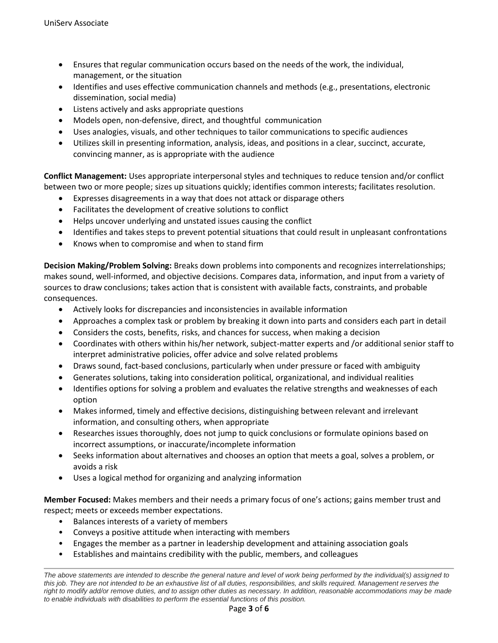- Ensures that regular communication occurs based on the needs of the work, the individual, management, or the situation
- Identifies and uses effective communication channels and methods (e.g., presentations, electronic dissemination, social media)
- Listens actively and asks appropriate questions
- Models open, non-defensive, direct, and thoughtful communication
- Uses analogies, visuals, and other techniques to tailor communications to specific audiences
- Utilizes skill in presenting information, analysis, ideas, and positions in a clear, succinct, accurate, convincing manner, as is appropriate with the audience

**Conflict Management:** Uses appropriate interpersonal styles and techniques to reduce tension and/or conflict between two or more people; sizes up situations quickly; identifies common interests; facilitates resolution.

- Expresses disagreements in a way that does not attack or disparage others
- Facilitates the development of creative solutions to conflict
- Helps uncover underlying and unstated issues causing the conflict
- Identifies and takes steps to prevent potential situations that could result in unpleasant confrontations
- Knows when to compromise and when to stand firm

**Decision Making/Problem Solving:** Breaks down problems into components and recognizes interrelationships; makes sound, well-informed, and objective decisions. Compares data, information, and input from a variety of sources to draw conclusions; takes action that is consistent with available facts, constraints, and probable consequences.

- Actively looks for discrepancies and inconsistencies in available information
- Approaches a complex task or problem by breaking it down into parts and considers each part in detail
- Considers the costs, benefits, risks, and chances for success, when making a decision
- Coordinates with others within his/her network, subject-matter experts and /or additional senior staff to interpret administrative policies, offer advice and solve related problems
- Draws sound, fact-based conclusions, particularly when under pressure or faced with ambiguity
- Generates solutions, taking into consideration political, organizational, and individual realities
- Identifies options for solving a problem and evaluates the relative strengths and weaknesses of each option
- Makes informed, timely and effective decisions, distinguishing between relevant and irrelevant information, and consulting others, when appropriate
- Researches issues thoroughly, does not jump to quick conclusions or formulate opinions based on incorrect assumptions, or inaccurate/incomplete information
- Seeks information about alternatives and chooses an option that meets a goal, solves a problem, or avoids a risk
- Uses a logical method for organizing and analyzing information

**Member Focused:** Makes members and their needs a primary focus of one's actions; gains member trust and respect; meets or exceeds member expectations.

- Balances interests of a variety of members
- Conveys a positive attitude when interacting with members
- Engages the member as a partner in leadership development and attaining association goals
- Establishes and maintains credibility with the public, members, and colleagues

*The above statements are intended to describe the general nature and level of work being performed by the individual(s) assigned to this job. They are not intended to be an exhaustive list of all duties, responsibilities, and skills required. Management reserves the*  right to modify add/or remove duties, and to assign other duties as necessary. In addition, reasonable accommodations may be made *to enable individuals with disabilities to perform the essential functions of this position.*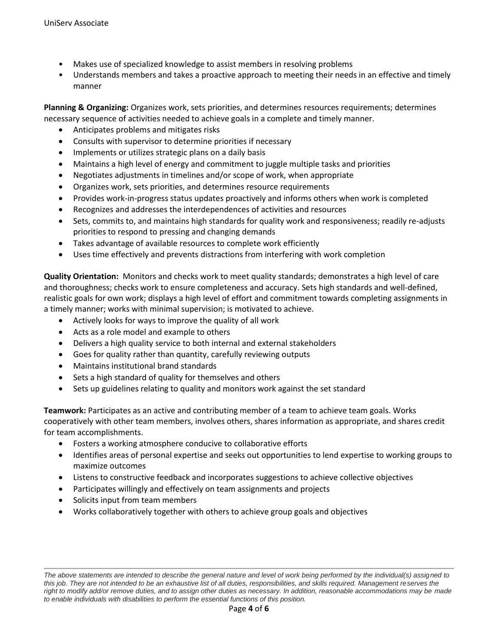- Makes use of specialized knowledge to assist members in resolving problems
- Understands members and takes a proactive approach to meeting their needs in an effective and timely manner

**Planning & Organizing:** Organizes work, sets priorities, and determines resources requirements; determines necessary sequence of activities needed to achieve goals in a complete and timely manner.

- Anticipates problems and mitigates risks
- Consults with supervisor to determine priorities if necessary
- Implements or utilizes strategic plans on a daily basis
- Maintains a high level of energy and commitment to juggle multiple tasks and priorities
- Negotiates adjustments in timelines and/or scope of work, when appropriate
- Organizes work, sets priorities, and determines resource requirements
- Provides work-in-progress status updates proactively and informs others when work is completed
- Recognizes and addresses the interdependences of activities and resources
- Sets, commits to, and maintains high standards for quality work and responsiveness; readily re-adjusts priorities to respond to pressing and changing demands
- Takes advantage of available resources to complete work efficiently
- Uses time effectively and prevents distractions from interfering with work completion

**Quality Orientation:** Monitors and checks work to meet quality standards; demonstrates a high level of care and thoroughness; checks work to ensure completeness and accuracy. Sets high standards and well-defined, realistic goals for own work; displays a high level of effort and commitment towards completing assignments in a timely manner; works with minimal supervision; is motivated to achieve.

- Actively looks for ways to improve the quality of all work
- Acts as a role model and example to others
- Delivers a high quality service to both internal and external stakeholders
- Goes for quality rather than quantity, carefully reviewing outputs
- Maintains institutional brand standards
- Sets a high standard of quality for themselves and others
- Sets up guidelines relating to quality and monitors work against the set standard

**Teamwork:** Participates as an active and contributing member of a team to achieve team goals. Works cooperatively with other team members, involves others, shares information as appropriate, and shares credit for team accomplishments.

- Fosters a working atmosphere conducive to collaborative efforts
- Identifies areas of personal expertise and seeks out opportunities to lend expertise to working groups to maximize outcomes
- Listens to constructive feedback and incorporates suggestions to achieve collective objectives
- Participates willingly and effectively on team assignments and projects
- Solicits input from team members
- Works collaboratively together with others to achieve group goals and objectives

*The above statements are intended to describe the general nature and level of work being performed by the individual(s) assigned to*  this job. They are not intended to be an exhaustive list of all duties, responsibilities, and skills required. Management reserves the right to modify add/or remove duties, and to assign other duties as necessary. In addition, reasonable accommodations may be made *to enable individuals with disabilities to perform the essential functions of this position.*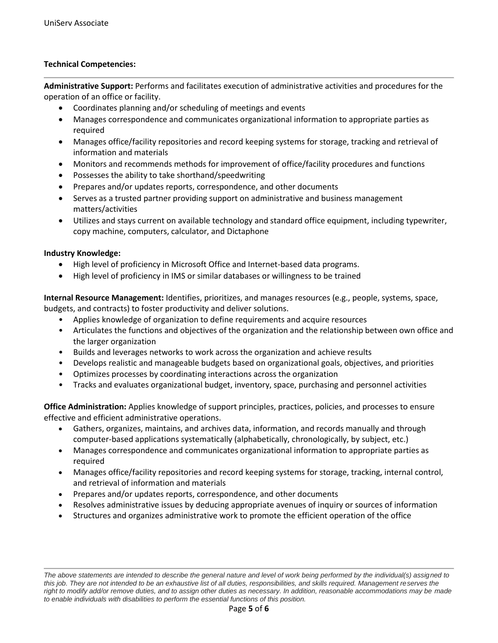# **Technical Competencies:**

**Administrative Support:** Performs and facilitates execution of administrative activities and procedures for the operation of an office or facility.

- Coordinates planning and/or scheduling of meetings and events
- Manages correspondence and communicates organizational information to appropriate parties as required
- Manages office/facility repositories and record keeping systems for storage, tracking and retrieval of information and materials
- Monitors and recommends methods for improvement of office/facility procedures and functions
- Possesses the ability to take shorthand/speedwriting
- Prepares and/or updates reports, correspondence, and other documents
- Serves as a trusted partner providing support on administrative and business management matters/activities
- Utilizes and stays current on available technology and standard office equipment, including typewriter, copy machine, computers, calculator, and Dictaphone

## **Industry Knowledge:**

- High level of proficiency in Microsoft Office and Internet-based data programs.
- High level of proficiency in IMS or similar databases or willingness to be trained

**Internal Resource Management:** Identifies, prioritizes, and manages resources (e.g., people, systems, space, budgets, and contracts) to foster productivity and deliver solutions.

- Applies knowledge of organization to define requirements and acquire resources
- Articulates the functions and objectives of the organization and the relationship between own office and the larger organization
- Builds and leverages networks to work across the organization and achieve results
- Develops realistic and manageable budgets based on organizational goals, objectives, and priorities
- Optimizes processes by coordinating interactions across the organization
- Tracks and evaluates organizational budget, inventory, space, purchasing and personnel activities

**Office Administration:** Applies knowledge of support principles, practices, policies, and processes to ensure effective and efficient administrative operations.

- Gathers, organizes, maintains, and archives data, information, and records manually and through computer-based applications systematically (alphabetically, chronologically, by subject, etc.)
- Manages correspondence and communicates organizational information to appropriate parties as required
- Manages office/facility repositories and record keeping systems for storage, tracking, internal control, and retrieval of information and materials
- Prepares and/or updates reports, correspondence, and other documents
- Resolves administrative issues by deducing appropriate avenues of inquiry or sources of information
- Structures and organizes administrative work to promote the efficient operation of the office

*The above statements are intended to describe the general nature and level of work being performed by the individual(s) assigned to*  this job. They are not intended to be an exhaustive list of all duties, responsibilities, and skills required. Management reserves the right to modify add/or remove duties, and to assign other duties as necessary. In addition, reasonable accommodations may be made *to enable individuals with disabilities to perform the essential functions of this position.*